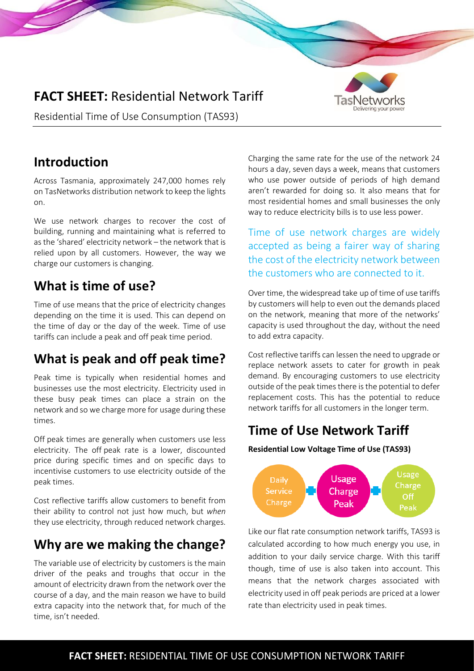# **FACT SHEET:** Residential Network Tariff



Residential Time of Use Consumption (TAS93)

### **Introduction**

Across Tasmania, approximately 247,000 homes rely on TasNetworks distribution network to keep the lights on.

We use network charges to recover the cost of building, running and maintaining what is referred to as the 'shared' electricity network – the network that is relied upon by all customers. However, the way we charge our customers is changing.

# **What is time of use?**

Time of use means that the price of electricity changes depending on the time it is used. This can depend on the time of day or the day of the week. Time of use tariffs can include a peak and off peak time period.

# **What is peak and off peak time?**

Peak time is typically when residential homes and businesses use the most electricity. Electricity used in these busy peak times can place a strain on the network and so we charge more for usage during these times.

Off peak times are generally when customers use less electricity. The off peak rate is a lower, discounted price during specific times and on specific days to incentivise customers to use electricity outside of the peak times.

Cost reflective tariffs allow customers to benefit from their ability to control not just how much, but *when* they use electricity, through reduced network charges.

## **Why are we making the change?**

The variable use of electricity by customers is the main driver of the peaks and troughs that occur in the amount of electricity drawn from the network over the course of a day, and the main reason we have to build extra capacity into the network that, for much of the time, isn't needed.

Charging the same rate for the use of the network 24 hours a day, seven days a week, means that customers who use power outside of periods of high demand aren't rewarded for doing so. It also means that for most residential homes and small businesses the only way to reduce electricity bills is to use less power.

Time of use network charges are widely accepted as being a fairer way of sharing the cost of the electricity network between the customers who are connected to it.

Over time, the widespread take up of time of use tariffs by customers will help to even out the demands placed on the network, meaning that more of the networks' capacity is used throughout the day, without the need to add extra capacity.

Cost reflective tariffs can lessen the need to upgrade or replace network assets to cater for growth in peak demand. By encouraging customers to use electricity outside of the peak times there is the potential to defer replacement costs. This has the potential to reduce network tariffs for all customers in the longer term.

## **Time of Use Network Tariff**

**Residential Low Voltage Time of Use (TAS93)**



Like our flat rate consumption network tariffs, TAS93 is calculated according to how much energy you use, in addition to your daily service charge. With this tariff though, time of use is also taken into account. This means that the network charges associated with electricity used in off peak periods are priced at a lower rate than electricity used in peak times.